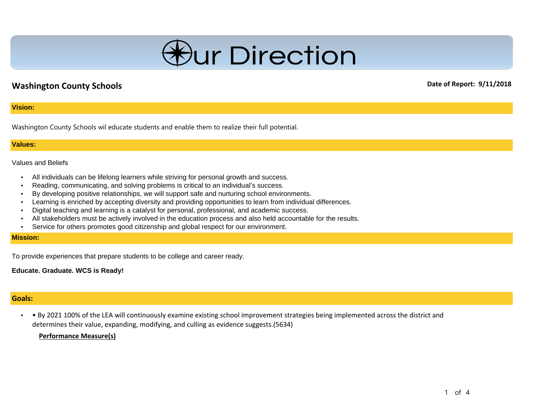

# **Washington County Schools Date of Report: 9/11/2018**

### **Vision:**

Washington County Schools wil educate students and enable them to realize their full potential.

#### **Values:**

#### Values and Beliefs

- All individuals can be lifelong learners while striving for personal growth and success.
- Reading, communicating, and solving problems is critical to an individual's success.
- By developing positive relationships, we will support safe and nurturing school environments.
- Learning is enriched by accepting diversity and providing opportunities to learn from individual differences.
- Digital teaching and learning is a catalyst for personal, professional, and academic success.
- All stakeholders must be actively involved in the education process and also held accountable for the results.
- Service for others promotes good citizenship and global respect for our environment.

### **Mission:**

To provide experiences that prepare students to be college and career ready.

**Educate. Graduate. WCS is Ready!**

## **Goals:**

• • By 2021 100% of the LEA will continuously examine existing school improvement strategies being implemented across the district and determines their value, expanding, modifying, and culling as evidence suggests.(5634)

#### **Performance Measure(s)**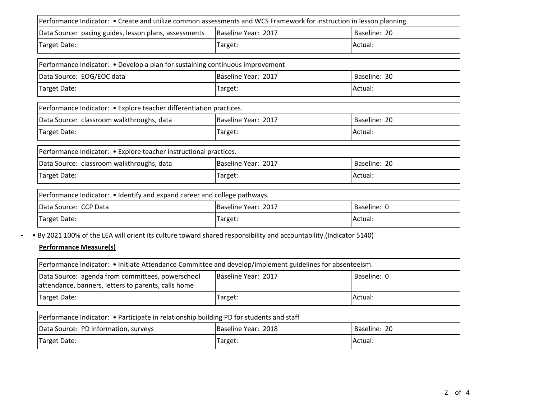| Performance Indicator: • Create and utilize common assessments and WCS Framework for instruction in lesson planning. |                     |              |
|----------------------------------------------------------------------------------------------------------------------|---------------------|--------------|
| Data Source: pacing guides, lesson plans, assessments                                                                | Baseline Year: 2017 | Baseline: 20 |
| Target Date:                                                                                                         | Target:             | Actual:      |
| Performance Indicator: • Develop a plan for sustaining continuous improvement                                        |                     |              |
| Data Source: EOG/EOC data                                                                                            | Baseline Year: 2017 | Baseline: 30 |
| Target Date:                                                                                                         | Target:             | Actual:      |
| Performance Indicator: • Explore teacher differentiation practices.                                                  |                     |              |
| Data Source: classroom walkthroughs, data                                                                            | Baseline Year: 2017 | Baseline: 20 |
| Target Date:                                                                                                         | Target:             | Actual:      |
| Performance Indicator: • Explore teacher instructional practices.                                                    |                     |              |
| Data Source: classroom walkthroughs, data                                                                            | Baseline Year: 2017 | Baseline: 20 |
| Target Date:                                                                                                         | Target:             | Actual:      |
| Performance Indicator: • Identify and expand career and college pathways.                                            |                     |              |
| Data Source: CCP Data                                                                                                | Baseline Year: 2017 | Baseline: 0  |
| Target Date:                                                                                                         | Target:             | Actual:      |

• • By 2021 100% of the LEA will orient its culture toward shared responsibility and accountability.(Indicator 5140)

## **Performance Measure(s)**

| Performance Indicator: • Initiate Attendance Committee and develop/implement guidelines for absenteeism. |                     |             |
|----------------------------------------------------------------------------------------------------------|---------------------|-------------|
| Data Source: agenda from committees, powerschool<br>attendance, banners, letters to parents, calls home  | Baseline Year: 2017 | Baseline: 0 |
| Target Date:                                                                                             | Target:             | Actual:     |
|                                                                                                          |                     |             |

| Performance Indicator: • Participate in relationship building PD for students and staff |                     |              |
|-----------------------------------------------------------------------------------------|---------------------|--------------|
| Data Source: PD information, surveys                                                    | Baseline Year: 2018 | Baseline: 20 |
| Target Date:                                                                            | Target:             | lActual:     |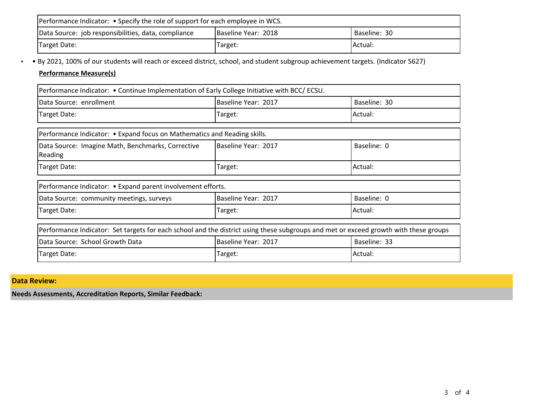| Performance Indicator: • Specify the role of support for each employee in WCS. |                     |              |
|--------------------------------------------------------------------------------|---------------------|--------------|
| Data Source: job responsibilities, data, compliance                            | Baseline Year: 2018 | Baseline: 30 |
| Target Date:                                                                   | Target:             | IActual:     |

• • By 2021, 100% of our students will reach or exceed district, school, and student subgroup achievement targets. (Indicator 5627)

# **Performance Measure(s)**

| Performance Indicator: • Continue Implementation of Early College Initiative with BCC/ ECSU.                                         |                     |              |
|--------------------------------------------------------------------------------------------------------------------------------------|---------------------|--------------|
| Data Source: enrollment                                                                                                              | Baseline Year: 2017 | Baseline: 30 |
| Target Date:                                                                                                                         | Target:             | Actual:      |
| Performance Indicator: • Expand focus on Mathematics and Reading skills.                                                             |                     |              |
| Data Source: Imagine Math, Benchmarks, Corrective<br>Reading                                                                         | Baseline Year: 2017 | Baseline: 0  |
| Target Date:                                                                                                                         | Target:             | Actual:      |
| Performance Indicator: • Expand parent involvement efforts.                                                                          |                     |              |
| Data Source: community meetings, surveys                                                                                             | Baseline Year: 2017 | Baseline: 0  |
| Target Date:                                                                                                                         | Target:             | Actual:      |
| Performance Indicator: Set targets for each school and the district using these subgroups and met or exceed growth with these groups |                     |              |
| Data Source: School Growth Data                                                                                                      | Baseline Year: 2017 | Baseline: 33 |
| Target Date:                                                                                                                         | Target:             | Actual:      |

# **Data Review:**

**Needs Assessments, Accreditation Reports, Similar Feedback:**